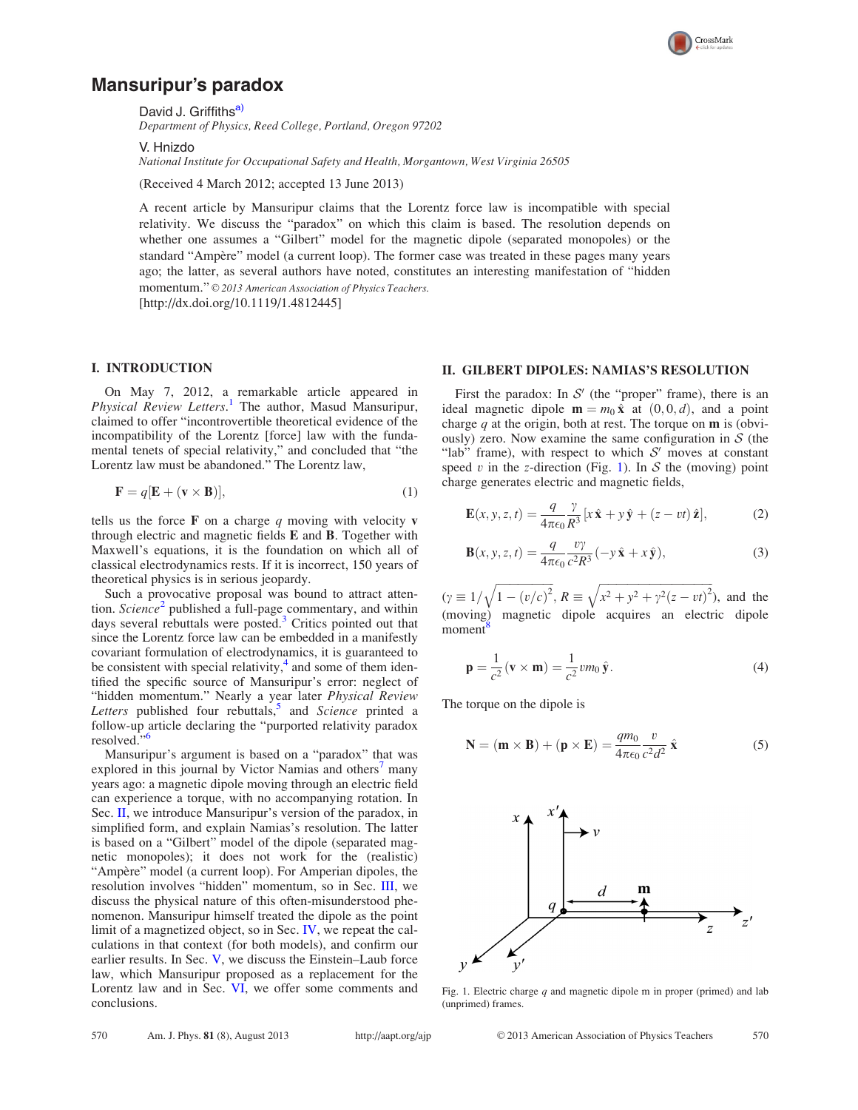

# Mansuripur's paradox

David J. Griffiths<sup>a)</sup>

Department of Physics, Reed College, Portland, Oregon 97202

V. Hnizdo

National Institute for Occupational Safety and Health, Morgantown, West Virginia 26505

(Received 4 March 2012; accepted 13 June 2013)

A recent article by Mansuripur claims that the Lorentz force law is incompatible with special relativity. We discuss the "paradox" on which this claim is based. The resolution depends on whether one assumes a "Gilbert" model for the magnetic dipole (separated monopoles) or the standard "Ampère" model (a current loop). The former case was treated in these pages many years ago; the latter, as several authors have noted, constitutes an interesting manifestation of "hidden momentum." © 2013 American Association of Physics Teachers.

[http://dx.doi.org/10.1119/1.4812445]

## I. INTRODUCTION

On May 7, 2012, a remarkable article appeared in Physical Review Letters.<sup>1</sup> The author, Masud Mansuripur, claimed to offer "incontrovertible theoretical evidence of the incompatibility of the Lorentz [force] law with the fundamental tenets of special relativity," and concluded that "the Lorentz law must be abandoned." The Lorentz law,

$$
\mathbf{F} = q[\mathbf{E} + (\mathbf{v} \times \mathbf{B})],\tag{1}
$$

tells us the force  $\bf{F}$  on a charge q moving with velocity  $\bf{v}$ through electric and magnetic fields E and B. Together with Maxwell's equations, it is the foundation on which all of classical electrodynamics rests. If it is incorrect, 150 years of theoretical physics is in serious jeopardy.

Such a provocative proposal was bound to attract attention. Science<sup>2</sup> published a full-page commentary, and within days several rebuttals were posted.<sup>3</sup> Critics pointed out that since the Lorentz force law can be embedded in a manifestly covariant formulation of electrodynamics, it is guaranteed to be consistent with special relativity, $4$  and some of them identified the specific source of Mansuripur's error: neglect of "hidden momentum." Nearly a year later Physical Review Letters published four rebuttals,<sup>5</sup> and Science printed a follow-up article declaring the "purported relativity paradox resolved."<sup>6</sup>

Mansuripur's argument is based on a "paradox" that was explored in this journal by Victor Namias and others<sup>7</sup> many years ago: a magnetic dipole moving through an electric field can experience a torque, with no accompanying rotation. In Sec. II, we introduce Mansuripur's version of the paradox, in simplified form, and explain Namias's resolution. The latter is based on a "Gilbert" model of the dipole (separated magnetic monopoles); it does not work for the (realistic) "Ampère" model (a current loop). For Amperian dipoles, the resolution involves "hidden" momentum, so in Sec. III, we discuss the physical nature of this often-misunderstood phenomenon. Mansuripur himself treated the dipole as the point limit of a magnetized object, so in Sec. IV, we repeat the calculations in that context (for both models), and confirm our earlier results. In Sec. V, we discuss the Einstein–Laub force law, which Mansuripur proposed as a replacement for the Lorentz law and in Sec. VI, we offer some comments and conclusions.

## II. GILBERT DIPOLES: NAMIAS'S RESOLUTION

First the paradox: In  $S'$  (the "proper" frame), there is an ideal magnetic dipole  $\mathbf{m} = m_0 \hat{\mathbf{x}}$  at  $(0, 0, d)$ , and a point charge  $q$  at the origin, both at rest. The torque on  $\mathbf m$  is (obviously) zero. Now examine the same configuration in  $S$  (the "lab" frame), with respect to which  $S'$  moves at constant speed v in the z-direction (Fig. 1). In  $S$  the (moving) point charge generates electric and magnetic fields,

$$
\mathbf{E}(x, y, z, t) = \frac{q}{4\pi\epsilon_0} \frac{\gamma}{R^3} \left[ x\hat{\mathbf{x}} + y\hat{\mathbf{y}} + (z - vt)\hat{\mathbf{z}} \right],\tag{2}
$$

$$
\mathbf{B}(x, y, z, t) = \frac{q}{4\pi\epsilon_0} \frac{v\gamma}{c^2 R^3} (-y\hat{\mathbf{x}} + x\hat{\mathbf{y}}),
$$
 (3)

 $(\gamma \equiv 1/\sqrt{1-(v/c)^2}, R \equiv \sqrt{x^2+y^2+y^2(z-vt)^2})$ , and the (moving) magnetic dipole acquires an electric dipole moment

$$
\mathbf{p} = \frac{1}{c^2} (\mathbf{v} \times \mathbf{m}) = \frac{1}{c^2} v m_0 \hat{\mathbf{y}}.
$$
 (4)

The torque on the dipole is

$$
\mathbf{N} = (\mathbf{m} \times \mathbf{B}) + (\mathbf{p} \times \mathbf{E}) = \frac{qm_0}{4\pi\epsilon_0} \frac{v}{c^2 d^2} \hat{\mathbf{x}}
$$
 (5)



Fig. 1. Electric charge  $q$  and magnetic dipole m in proper (primed) and lab (unprimed) frames.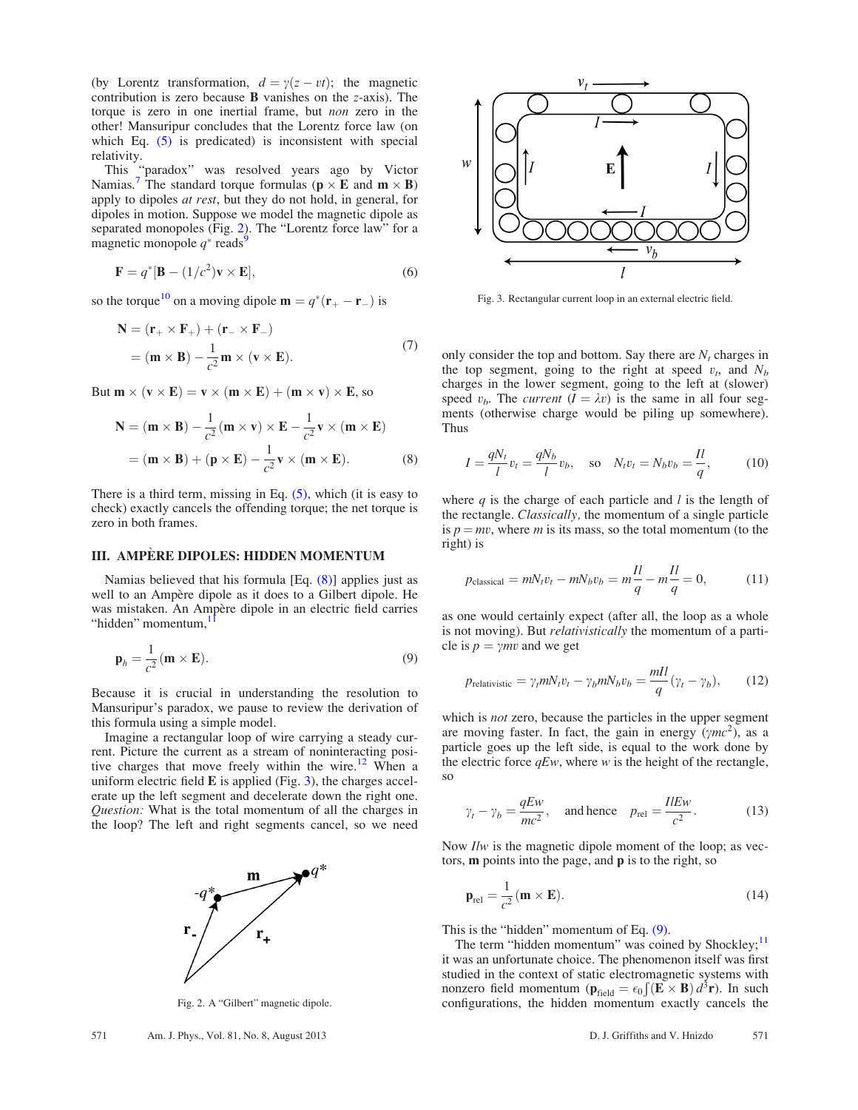(by Lorentz transformation,  $d = \gamma(z - vt)$ ; the magnetic contribution is zero because B vanishes on the z-axis). The torque is zero in one inertial frame, but non zero in the other! Mansuripur concludes that the Lorentz force law (on which Eq.  $(5)$  is predicated) is inconsistent with special relativity.

This "paradox" was resolved years ago by Victor Namias.<sup>7</sup> The standard torque formulas ( $\mathbf{p} \times \mathbf{E}$  and  $\mathbf{m} \times \mathbf{B}$ ) apply to dipoles *at rest*, but they do not hold, in general, for dipoles in motion. Suppose we model the magnetic dipole as separated monopoles (Fig. 2). The "Lorentz force law" for a magnetic monopole  $q^*$  reads

$$
\mathbf{F} = q^* [\mathbf{B} - (1/c^2) \mathbf{v} \times \mathbf{E}], \tag{6}
$$

so the torque<sup>10</sup> on a moving dipole  $\mathbf{m} = q^*(\mathbf{r}_+ - \mathbf{r}_-)$  is

$$
\mathbf{N} = (\mathbf{r}_{+} \times \mathbf{F}_{+}) + (\mathbf{r}_{-} \times \mathbf{F}_{-})
$$
  
= (\mathbf{m} \times \mathbf{B}) - \frac{1}{c^{2}} \mathbf{m} \times (\mathbf{v} \times \mathbf{E}). (7)

But  $\mathbf{m} \times (\mathbf{v} \times \mathbf{E}) = \mathbf{v} \times (\mathbf{m} \times \mathbf{E}) + (\mathbf{m} \times \mathbf{v}) \times \mathbf{E}$ , so

$$
\mathbf{N} = (\mathbf{m} \times \mathbf{B}) - \frac{1}{c^2} (\mathbf{m} \times \mathbf{v}) \times \mathbf{E} - \frac{1}{c^2} \mathbf{v} \times (\mathbf{m} \times \mathbf{E})
$$

$$
= (\mathbf{m} \times \mathbf{B}) + (\mathbf{p} \times \mathbf{E}) - \frac{1}{c^2} \mathbf{v} \times (\mathbf{m} \times \mathbf{E}).
$$
(8)

There is a third term, missing in Eq.  $(5)$ , which (it is easy to check) exactly cancels the offending torque; the net torque is zero in both frames.

## III. AMPÈRE DIPOLES: HIDDEN MOMENTUM

Namias believed that his formula [Eq. (8)] applies just as well to an Ampère dipole as it does to a Gilbert dipole. He was mistaken. An Ampère dipole in an electric field carries "hidden" momentum,

$$
\mathbf{p}_h = \frac{1}{c^2} (\mathbf{m} \times \mathbf{E}).
$$
 (9)

Because it is crucial in understanding the resolution to Mansuripur's paradox, we pause to review the derivation of this formula using a simple model.

Imagine a rectangular loop of wire carrying a steady current. Picture the current as a stream of noninteracting positive charges that move freely within the wire.<sup>12</sup> When a uniform electric field  $E$  is applied (Fig. 3), the charges accelerate up the left segment and decelerate down the right one. Question: What is the total momentum of all the charges in the loop? The left and right segments cancel, so we need





Fig. 3. Rectangular current loop in an external electric field.

only consider the top and bottom. Say there are  $N_t$  charges in the top segment, going to the right at speed  $v_t$ , and  $N_b$ charges in the lower segment, going to the left at (slower) speed  $v<sub>b</sub>$ . The *current*  $(I = \lambda v)$  is the same in all four segments (otherwise charge would be piling up somewhere). Thus

$$
I = \frac{qN_t}{l}v_t = \frac{qN_b}{l}v_b, \text{ so } N_t v_t = N_b v_b = \frac{Il}{q}, \text{ (10)}
$$

where  $q$  is the charge of each particle and  $l$  is the length of the rectangle. Classically, the momentum of a single particle is  $p = mv$ , where m is its mass, so the total momentum (to the right) is

$$
p_{\text{classical}} = mN_t v_t - mN_b v_b = m\frac{Il}{q} - m\frac{Il}{q} = 0,\tag{11}
$$

as one would certainly expect (after all, the loop as a whole is not moving). But relativistically the momentum of a particle is  $p = \gamma m v$  and we get

$$
p_{\text{relativistic}} = \gamma_t m N_t v_t - \gamma_b m N_b v_b = \frac{mIl}{q} (\gamma_t - \gamma_b), \qquad (12)
$$

which is *not* zero, because the particles in the upper segment are moving faster. In fact, the gain in energy ( $\gamma mc^2$ ), as a particle goes up the left side, is equal to the work done by the electric force  $qE_w$ , where w is the height of the rectangle, so

$$
\gamma_t - \gamma_b = \frac{qEw}{mc^2}
$$
, and hence  $p_{rel} = \frac{IIEw}{c^2}$ . (13)

Now *Ilw* is the magnetic dipole moment of the loop; as vectors, m points into the page, and p is to the right, so

$$
\mathbf{p}_{rel} = \frac{1}{c^2} (\mathbf{m} \times \mathbf{E}).
$$
 (14)

This is the "hidden" momentum of Eq. (9).

The term "hidden momentum" was coined by Shockley; $<sup>11</sup>$ </sup> it was an unfortunate choice. The phenomenon itself was first studied in the context of static electromagnetic systems with nonzero field momentum  $(\mathbf{p}_{\text{field}} = \epsilon_0 \int (\mathbf{E} \times \mathbf{B}) d^3 \mathbf{r})$ . In such Fig. 2. A "Gilbert" magnetic dipole. configurations, the hidden momentum exactly cancels the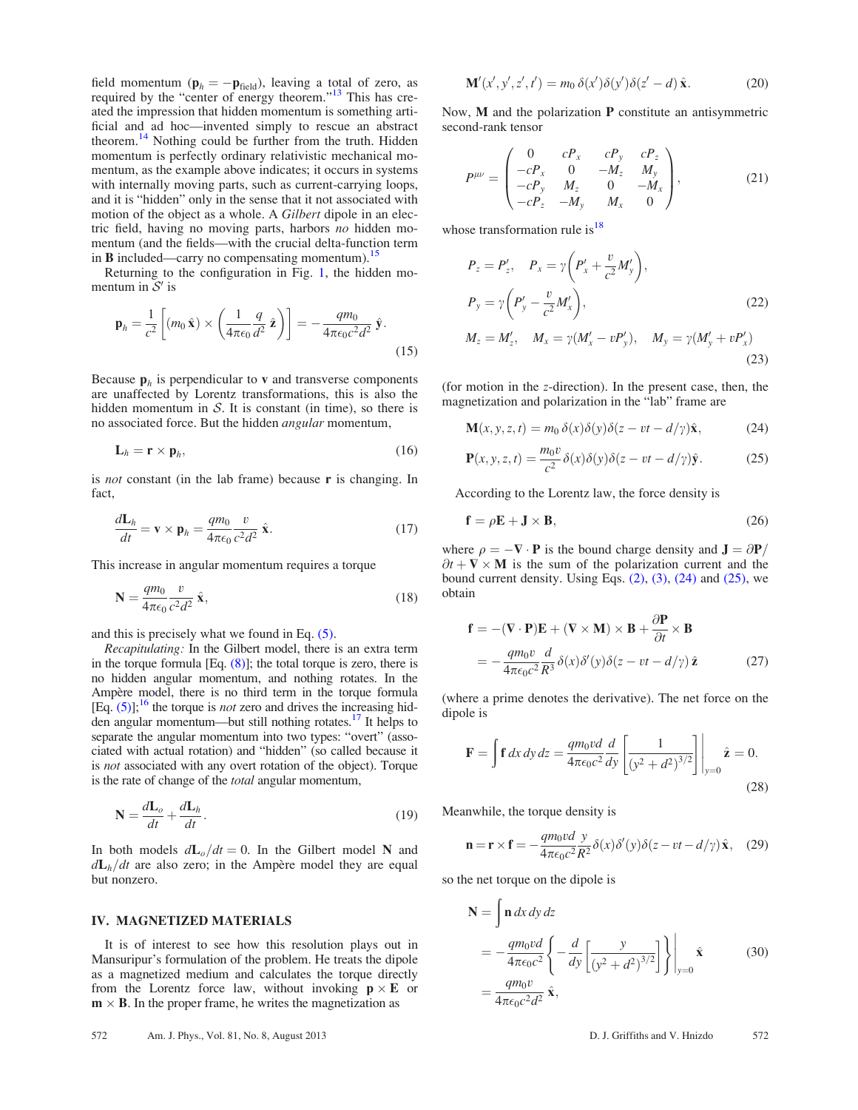field momentum ( $\mathbf{p}_h = -\mathbf{p}_{\text{field}}$ ), leaving a total of zero, as required by the "center of energy theorem."<sup>13</sup> This has created the impression that hidden momentum is something artificial and ad hoc—invented simply to rescue an abstract theorem.<sup>14</sup> Nothing could be further from the truth. Hidden momentum is perfectly ordinary relativistic mechanical momentum, as the example above indicates; it occurs in systems with internally moving parts, such as current-carrying loops, and it is "hidden" only in the sense that it not associated with motion of the object as a whole. A *Gilbert* dipole in an electric field, having no moving parts, harbors no hidden momentum (and the fields—with the crucial delta-function term in **B** included—carry no compensating momentum).<sup>1</sup>

Returning to the configuration in Fig. 1, the hidden momentum in  $S'$  is

$$
\mathbf{p}_h = \frac{1}{c^2} \left[ (m_0 \hat{\mathbf{x}}) \times \left( \frac{1}{4\pi\epsilon_0} \frac{q}{d^2} \hat{\mathbf{z}} \right) \right] = -\frac{qm_0}{4\pi\epsilon_0 c^2 d^2} \hat{\mathbf{y}}.
$$
\n(15)

Because  $\mathbf{p}_h$  is perpendicular to **v** and transverse components are unaffected by Lorentz transformations, this is also the hidden momentum in  $S$ . It is constant (in time), so there is no associated force. But the hidden angular momentum,

$$
\mathbf{L}_h = \mathbf{r} \times \mathbf{p}_h, \tag{16}
$$

is *not* constant (in the lab frame) because  $\bf{r}$  is changing. In fact,

$$
\frac{d\mathbf{L}_h}{dt} = \mathbf{v} \times \mathbf{p}_h = \frac{qm_0}{4\pi\epsilon_0} \frac{v}{c^2 d^2} \hat{\mathbf{x}}.
$$
 (17)

This increase in angular momentum requires a torque

$$
\mathbf{N} = \frac{qm_0}{4\pi\epsilon_0} \frac{v}{c^2 d^2} \hat{\mathbf{x}},
$$
\n(18)

and this is precisely what we found in Eq. (5).

Recapitulating: In the Gilbert model, there is an extra term in the torque formula  $[Eq. (8)]$ ; the total torque is zero, there is no hidden angular momentum, and nothing rotates. In the Ampère model, there is no third term in the torque formula  $[Eq. (5)]$ ;<sup>16</sup> the torque is *not* zero and drives the increasing hidden angular momentum—but still nothing rotates.<sup>17</sup> It helps to separate the angular momentum into two types: "overt" (associated with actual rotation) and "hidden" (so called because it is not associated with any overt rotation of the object). Torque is the rate of change of the *total* angular momentum,

$$
\mathbf{N} = \frac{d\mathbf{L}_o}{dt} + \frac{d\mathbf{L}_h}{dt}.\tag{19}
$$

In both models  $d\mathbf{L}_{o}/dt = 0$ . In the Gilbert model N and  $d\mathbf{L}_h/dt$  are also zero; in the Ampère model they are equal but nonzero.

#### IV. MAGNETIZED MATERIALS

It is of interest to see how this resolution plays out in Mansuripur's formulation of the problem. He treats the dipole as a magnetized medium and calculates the torque directly from the Lorentz force law, without invoking  $p \times E$  or  $m \times B$ . In the proper frame, he writes the magnetization as

572 Am. J. Phys., Vol. 81, No. 8, August 2013 D. J. Griffiths and V. Hnizdo 572

$$
\mathbf{M}'(x',y',z',t') = m_0 \,\delta(x')\delta(y')\delta(z'-d)\,\hat{\mathbf{x}}.\tag{20}
$$

Now, M and the polarization P constitute an antisymmetric second-rank tensor

$$
P^{\mu\nu} = \begin{pmatrix} 0 & cP_x & cP_y & cP_z \\ -cP_x & 0 & -M_z & M_y \\ -cP_y & M_z & 0 & -M_x \\ -cP_z & -M_y & M_x & 0 \end{pmatrix},
$$
(21)

whose transformation rule  $is^{18}$ 

$$
P_z = P'_z, \quad P_x = \gamma \left( P'_x + \frac{v}{c^2} M'_y \right),
$$
  
\n
$$
P_y = \gamma \left( P'_y - \frac{v}{c^2} M'_x \right),
$$
  
\n
$$
M = M'_x, \quad M = \gamma \left( M'_x - v'_x \right), \quad M = \gamma \left( M'_x + v'_x \right)
$$
 (22)

$$
M_z = M'_z, \quad M_x = \gamma (M'_x - v P'_y), \quad M_y = \gamma (M'_y + v P'_x)
$$
\n(23)

(for motion in the z-direction). In the present case, then, the magnetization and polarization in the "lab" frame are

$$
\mathbf{M}(x, y, z, t) = m_0 \,\delta(x)\delta(y)\delta(z - vt - d/\gamma)\hat{\mathbf{x}},\tag{24}
$$

$$
\mathbf{P}(x, y, z, t) = \frac{m_0 v}{c^2} \delta(x) \delta(y) \delta(z - vt - d/\gamma) \hat{\mathbf{y}}.
$$
 (25)

According to the Lorentz law, the force density is

$$
\mathbf{f} = \rho \mathbf{E} + \mathbf{J} \times \mathbf{B},\tag{26}
$$

where  $\rho = -\nabla \cdot \mathbf{P}$  is the bound charge density and  $\mathbf{J} = \partial \mathbf{P}/\partial \mathbf{P}$  $\partial t + \nabla \times \mathbf{M}$  is the sum of the polarization current and the bound current density. Using Eqs.  $(2)$ ,  $(3)$ ,  $(24)$  and  $(25)$ , we obtain

$$
\mathbf{f} = -(\nabla \cdot \mathbf{P})\mathbf{E} + (\nabla \times \mathbf{M}) \times \mathbf{B} + \frac{\partial \mathbf{P}}{\partial t} \times \mathbf{B}
$$
  
= 
$$
-\frac{qm_0v}{4\pi\epsilon_0c^2}\frac{d}{R^3}\delta(x)\delta'(y)\delta(z - vt - d/\gamma)\hat{\mathbf{z}}
$$
(27)

(where a prime denotes the derivative). The net force on the dipole is

$$
\mathbf{F} = \int \mathbf{f} \, dx \, dy \, dz = \frac{q m_0 v d}{4 \pi \epsilon_0 c^2} \frac{d}{dy} \left[ \frac{1}{(y^2 + d^2)^{3/2}} \right] \Big|_{y=0} \hat{\mathbf{z}} = 0.
$$
\n(28)

Meanwhile, the torque density is

$$
\mathbf{n} = \mathbf{r} \times \mathbf{f} = -\frac{qm_0vd}{4\pi\epsilon_0c^2R^2} \delta(x)\delta'(y)\delta(z - vt - d/\gamma)\hat{\mathbf{x}}, \quad (29)
$$

so the net torque on the dipole is

$$
\mathbf{N} = \int \mathbf{n} \, dx \, dy \, dz
$$
  
=  $-\frac{q m_0 v d}{4 \pi \epsilon_0 c^2} \left\{ -\frac{d}{dy} \left[ \frac{y}{(y^2 + d^2)^{3/2}} \right] \right\} \Big|_{y=0} \hat{\mathbf{x}}$  (30)  
=  $\frac{q m_0 v}{4 \pi \epsilon_0 c^2 d^2} \hat{\mathbf{x}},$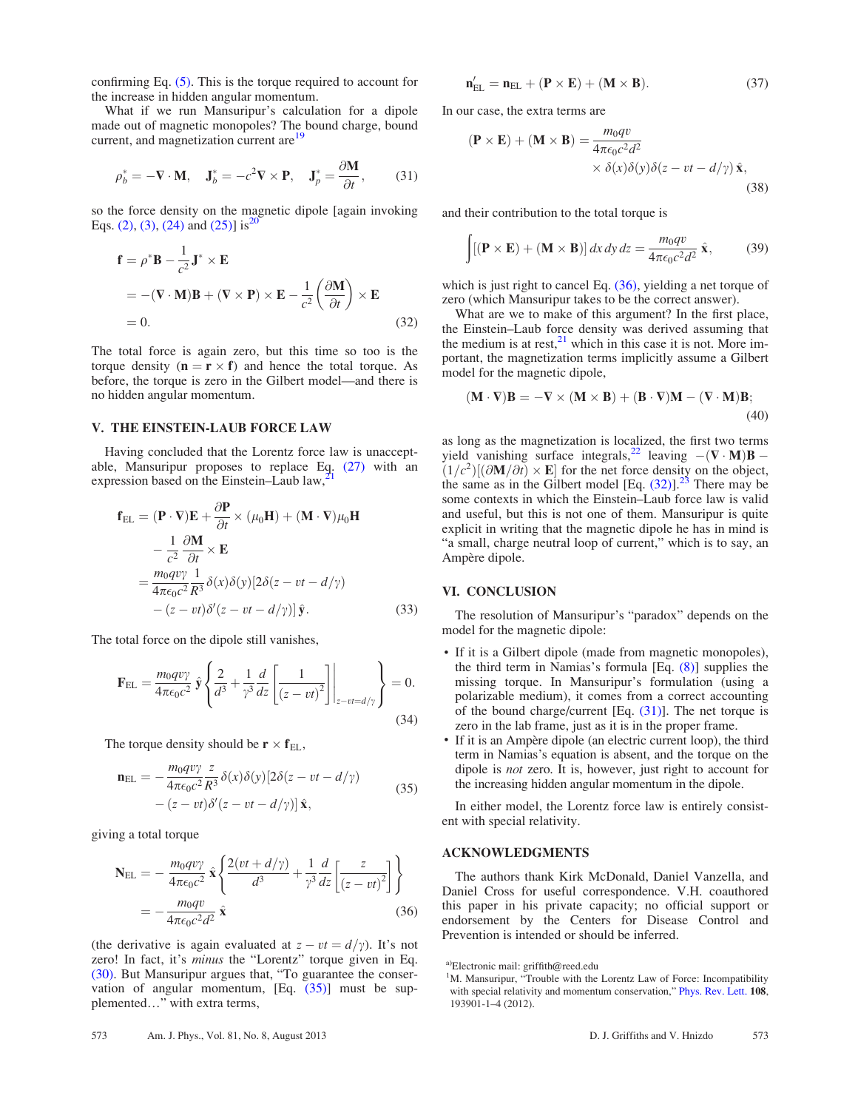confirming Eq. (5). This is the torque required to account for the increase in hidden angular momentum.

What if we run Mansuripur's calculation for a dipole made out of magnetic monopoles? The bound charge, bound current, and magnetization current are<sup>19</sup>

$$
\rho_b^* = -\nabla \cdot \mathbf{M}, \quad \mathbf{J}_b^* = -c^2 \nabla \times \mathbf{P}, \quad \mathbf{J}_p^* = \frac{\partial \mathbf{M}}{\partial t}, \tag{31}
$$

so the force density on the magnetic dipole [again invoking Eqs. (2), (3), (24) and (25)] is<sup>20</sup>

$$
\mathbf{f} = \rho^* \mathbf{B} - \frac{1}{c^2} \mathbf{J}^* \times \mathbf{E}
$$
  
= -(\nabla \cdot \mathbf{M}) \mathbf{B} + (\nabla \times \mathbf{P}) \times \mathbf{E} - \frac{1}{c^2} \left( \frac{\partial \mathbf{M}}{\partial t} \right) \times \mathbf{E}  
= 0. \t(32)

The total force is again zero, but this time so too is the torque density ( $\mathbf{n} = \mathbf{r} \times \mathbf{f}$ ) and hence the total torque. As before, the torque is zero in the Gilbert model—and there is no hidden angular momentum.

## V. THE EINSTEIN-LAUB FORCE LAW

Having concluded that the Lorentz force law is unacceptable, Mansuripur proposes to replace Eq.  $(27)$  with an expression based on the Einstein–Laub law,

$$
\mathbf{f}_{\text{EL}} = (\mathbf{P} \cdot \nabla)\mathbf{E} + \frac{\partial \mathbf{P}}{\partial t} \times (\mu_0 \mathbf{H}) + (\mathbf{M} \cdot \nabla)\mu_0 \mathbf{H}
$$
  
\n
$$
-\frac{1}{c^2} \frac{\partial \mathbf{M}}{\partial t} \times \mathbf{E}
$$
  
\n
$$
=\frac{m_0 q v \gamma}{4\pi \epsilon_0 c^2} \frac{1}{R^3} \delta(x) \delta(y) [2\delta(z - vt - d/\gamma)]
$$
  
\n
$$
-(z - vt) \delta'(z - vt - d/\gamma)] \hat{\mathbf{y}}.
$$
 (33)

The total force on the dipole still vanishes,

$$
\mathbf{F}_{\rm EL} = \frac{m_0 q v \gamma}{4\pi \epsilon_0 c^2} \hat{\mathbf{y}} \left\{ \frac{2}{d^3} + \frac{1}{\gamma^3} \frac{d}{dz} \left[ \frac{1}{(z - vt)^2} \right] \Big|_{z - vt = d/\gamma} \right\} = 0.
$$
\n(34)

The torque density should be  $\mathbf{r} \times \mathbf{f}_{\text{EL}}$ ,

$$
\mathbf{n}_{\rm EL} = -\frac{m_0 q v \gamma}{4\pi \epsilon_0 c^2} \frac{z}{R^3} \delta(x) \delta(y) [2\delta(z - vt - d/\gamma) - (z - vt)\delta'(z - vt - d/\gamma)] \hat{\mathbf{x}},
$$
\n(35)

giving a total torque

$$
\mathbf{N}_{\text{EL}} = -\frac{m_0 q v \gamma}{4\pi \epsilon_0 c^2} \hat{\mathbf{x}} \left\{ \frac{2(vt + d/\gamma)}{d^3} + \frac{1}{\gamma^3} \frac{d}{dz} \left[ \frac{z}{(z - vt)^2} \right] \right\}
$$
  
= 
$$
-\frac{m_0 q v}{4\pi \epsilon_0 c^2 d^2} \hat{\mathbf{x}} \tag{36}
$$

(the derivative is again evaluated at  $z - vt = d/\gamma$ ). It's not zero! In fact, it's minus the "Lorentz" torque given in Eq. (30). But Mansuripur argues that, "To guarantee the conservation of angular momentum,  $[Eq. (35)]$  must be supplemented…" with extra terms,

$$
\mathbf{n}'_{\mathrm{EL}} = \mathbf{n}_{\mathrm{EL}} + (\mathbf{P} \times \mathbf{E}) + (\mathbf{M} \times \mathbf{B}). \tag{37}
$$

In our case, the extra terms are

$$
(\mathbf{P} \times \mathbf{E}) + (\mathbf{M} \times \mathbf{B}) = \frac{m_0 q v}{4\pi \epsilon_0 c^2 d^2} \times \delta(x) \delta(y) \delta(z - vt - d/\gamma) \hat{\mathbf{x}},
$$
\n(38)

and their contribution to the total torque is

$$
\int [(\mathbf{P} \times \mathbf{E}) + (\mathbf{M} \times \mathbf{B})] dx dy dz = \frac{m_0 q v}{4\pi \epsilon_0 c^2 d^2} \hat{\mathbf{x}},
$$
 (39)

which is just right to cancel Eq. (36), yielding a net torque of zero (which Mansuripur takes to be the correct answer).

What are we to make of this argument? In the first place, the Einstein–Laub force density was derived assuming that the medium is at rest, $2<sup>1</sup>$  which in this case it is not. More important, the magnetization terms implicitly assume a Gilbert model for the magnetic dipole,

$$
(\mathbf{M} \cdot \mathbf{V})\mathbf{B} = -\mathbf{V} \times (\mathbf{M} \times \mathbf{B}) + (\mathbf{B} \cdot \mathbf{V})\mathbf{M} - (\mathbf{V} \cdot \mathbf{M})\mathbf{B};
$$
\n(40)

as long as the magnetization is localized, the first two terms yield vanishing surface integrals,<sup>22</sup> leaving  $-(\nabla \cdot \mathbf{M})\mathbf{B} (1/c^2)[(\partial M/\partial t) \times E]$  for the net force density on the object, the same as in the Gilbert model [Eq.  $(32)$ ].<sup>23</sup> There may be some contexts in which the Einstein–Laub force law is valid and useful, but this is not one of them. Mansuripur is quite explicit in writing that the magnetic dipole he has in mind is "a small, charge neutral loop of current," which is to say, an Ampère dipole.

#### VI. CONCLUSION

The resolution of Mansuripur's "paradox" depends on the model for the magnetic dipole:

- If it is a Gilbert dipole (made from magnetic monopoles), the third term in Namias's formula [Eq. (8)] supplies the missing torque. In Mansuripur's formulation (using a polarizable medium), it comes from a correct accounting of the bound charge/current [Eq.  $(31)$ ]. The net torque is zero in the lab frame, just as it is in the proper frame.
- If it is an Ampère dipole (an electric current loop), the third term in Namias's equation is absent, and the torque on the dipole is not zero. It is, however, just right to account for the increasing hidden angular momentum in the dipole.

In either model, the Lorentz force law is entirely consistent with special relativity.

#### ACKNOWLEDGMENTS

The authors thank Kirk McDonald, Daniel Vanzella, and Daniel Cross for useful correspondence. V.H. coauthored this paper in his private capacity; no official support or endorsement by the Centers for Disease Control and Prevention is intended or should be inferred.

573 Am. J. Phys., Vol. 81, No. 8, August 2013 D. J. Griffiths and V. Hnizdo 573

a)Electronic mail: griffith@reed.edu

<sup>&</sup>lt;sup>1</sup>M. Mansuripur, "Trouble with the Lorentz Law of Force: Incompatibility with special relativity and momentum conservation," Phys. Rev. Lett. 108, 193901-1–4 (2012).